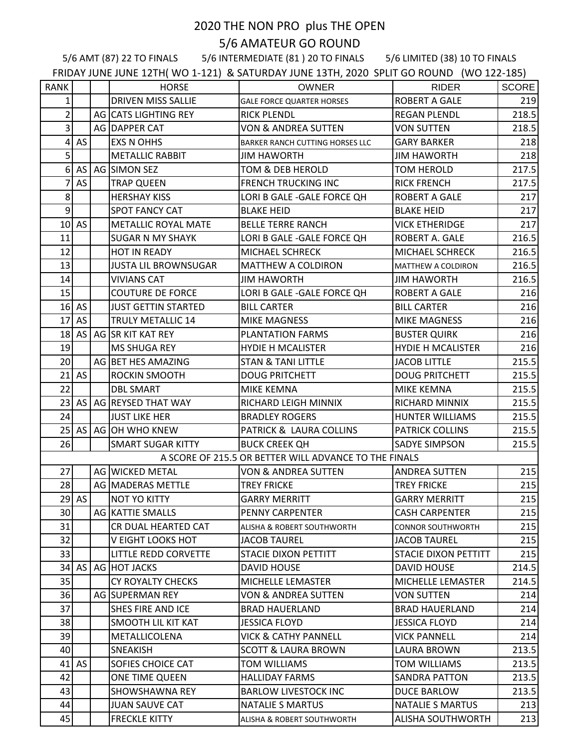## 2020 THE NON PRO plus THE OPEN 5/6 AMATEUR GO ROUND

5/6 AMT (87) 22 TO FINALS 5/6 INTERMEDIATE (81 ) 20 TO FINALS 5/6 LIMITED (38) 10 TO FINALS

FRIDAY JUNE JUNE 12TH( WO 1-121) & SATURDAY JUNE 13TH, 2020 SPLIT GO ROUND (WO 122-185)

| <b>RANK</b><br><b>OWNER</b><br><b>RIDER</b><br><b>HORSE</b><br><b>DRIVEN MISS SALLIE</b><br>1<br><b>ROBERT A GALE</b><br><b>GALE FORCE QUARTER HORSES</b><br>$\overline{2}$<br>AG CATS LIGHTING REY<br><b>RICK PLENDL</b><br><b>REGAN PLENDL</b><br>$\overline{3}$<br>AG DAPPER CAT<br><b>VON &amp; ANDREA SUTTEN</b><br><b>VON SUTTEN</b><br>$\vert 4 \vert$<br>AS<br><b>EXS N OHHS</b><br><b>GARY BARKER</b><br>BARKER RANCH CUTTING HORSES LLC<br>5 <sup>1</sup><br><b>METALLIC RABBIT</b><br><b>JIM HAWORTH</b><br><b>JIM HAWORTH</b><br>$\overline{6}$<br>AS<br>AG SIMON SEZ<br>TOM & DEB HEROLD<br><b>TOM HEROLD</b><br>7<br>AS<br><b>TRAP QUEEN</b><br><b>FRENCH TRUCKING INC</b><br><b>RICK FRENCH</b><br>8 <sup>1</sup><br><b>HERSHAY KISS</b><br>LORI B GALE - GALE FORCE QH<br><b>ROBERT A GALE</b><br> 9 <br>SPOT FANCY CAT<br><b>BLAKE HEID</b><br><b>BLAKE HEID</b><br>$10$ AS<br><b>METALLIC ROYAL MATE</b><br><b>BELLE TERRE RANCH</b><br><b>VICK ETHERIDGE</b><br>11<br>LORI B GALE - GALE FORCE QH<br>ROBERT A. GALE<br>SUGAR N MY SHAYK<br>12<br>HOT IN READY<br>MICHAEL SCHRECK<br>MICHAEL SCHRECK<br>13<br><b>JUSTA LIL BROWNSUGAR</b><br>MATTHEW A COLDIRON<br>MATTHEW A COLDIRON<br>14<br><b>VIVIANS CAT</b><br><b>JIM HAWORTH</b><br><b>JIM HAWORTH</b><br>15<br><b>COUTURE DE FORCE</b><br>LORI B GALE - GALE FORCE QH<br><b>ROBERT A GALE</b><br>$16$ AS<br><b>JUST GETTIN STARTED</b><br><b>BILL CARTER</b><br><b>BILL CARTER</b><br>17<br>AS<br><b>TRULY METALLIC 14</b><br><b>MIKE MAGNESS</b><br><b>MIKE MAGNESS</b><br>18 AS   AG   SR KIT KAT REY<br><b>PLANTATION FARMS</b><br><b>BUSTER QUIRK</b><br>19<br>MS SHUGA REY<br><b>HYDIE H MCALISTER</b><br><b>HYDIE H MCALISTER</b><br>20<br>215.5<br>AG BET HES AMAZING<br><b>STAN &amp; TANI LITTLE</b><br><b>JACOB LITTLE</b><br>$21$ AS<br>ROCKIN SMOOTH<br><b>DOUG PRITCHETT</b><br><b>DOUG PRITCHETT</b><br>22<br><b>DBL SMART</b><br>MIKE KEMNA<br>MIKE KEMNA<br>215.5<br>23 AS   AG   REYSED THAT WAY<br>RICHARD LEIGH MINNIX<br>RICHARD MINNIX<br>215.5<br>24<br>215.5<br><b>JUST LIKE HER</b><br><b>BRADLEY ROGERS</b><br>HUNTER WILLIAMS<br>25 AS AG OH WHO KNEW<br>PATRICK & LAURA COLLINS<br><b>PATRICK COLLINS</b><br>215.5<br>26<br><b>SMART SUGAR KITTY</b><br><b>BUCK CREEK QH</b><br>SADYE SIMPSON<br>215.5<br>A SCORE OF 215.5 OR BETTER WILL ADVANCE TO THE FINALS<br>27<br>AG WICKED METAL<br>215<br><b>VON &amp; ANDREA SUTTEN</b><br><b>ANDREA SUTTEN</b><br>28<br>AG MADERAS METTLE<br><b>TREY FRICKE</b><br>215<br><b>TREY FRICKE</b><br>$29$ AS<br>215<br><b>NOT YO KITTY</b><br><b>GARRY MERRITT</b><br><b>GARRY MERRITT</b><br>30<br>AG KATTIE SMALLS<br>215<br>PENNY CARPENTER<br><b>CASH CARPENTER</b><br>31<br>CR DUAL HEARTED CAT<br>215<br>ALISHA & ROBERT SOUTHWORTH<br>CONNOR SOUTHWORTH<br>32<br>V EIGHT LOOKS HOT<br>215<br><b>JACOB TAUREL</b><br><b>JACOB TAUREL</b><br>33<br>LITTLE REDD CORVETTE<br>215<br>STACIE DIXON PETTITT<br>STACIE DIXON PETTITT<br>34<br>AS<br>AG HOT JACKS<br><b>DAVID HOUSE</b><br><b>DAVID HOUSE</b><br>214.5<br>35<br><b>CY ROYALTY CHECKS</b><br>214.5<br>MICHELLE LEMASTER<br>MICHELLE LEMASTER<br>36<br>AG SUPERMAN REY<br>VON & ANDREA SUTTEN<br>VON SUTTEN<br>214<br>37<br>SHES FIRE AND ICE<br><b>BRAD HAUERLAND</b><br>214<br><b>BRAD HAUERLAND</b><br>38<br>SMOOTH LIL KIT KAT<br><b>JESSICA FLOYD</b><br>214<br>JESSICA FLOYD<br>39<br>METALLICOLENA<br><b>VICK &amp; CATHY PANNELL</b><br><b>VICK PANNELL</b><br>214<br>40<br><b>SNEAKISH</b><br><b>SCOTT &amp; LAURA BROWN</b><br><b>LAURA BROWN</b><br>213.5<br>41<br><b>AS</b><br>SOFIES CHOICE CAT<br>TOM WILLIAMS<br><b>TOM WILLIAMS</b><br>213.5<br>42<br>ONE TIME QUEEN<br><b>HALLIDAY FARMS</b><br>213.5<br>SANDRA PATTON<br>43<br>SHOWSHAWNA REY<br>DUCE BARLOW<br>213.5<br><b>BARLOW LIVESTOCK INC</b><br>44<br>213<br><b>JUAN SAUVE CAT</b><br><b>NATALIE S MARTUS</b><br><b>NATALIE S MARTUS</b><br>45<br><b>FRECKLE KITTY</b><br><b>ALISHA SOUTHWORTH</b><br>213<br><b>ALISHA &amp; ROBERT SOUTHWORTH</b> |  | $\mathbf{v}$ |  |       |
|-------------------------------------------------------------------------------------------------------------------------------------------------------------------------------------------------------------------------------------------------------------------------------------------------------------------------------------------------------------------------------------------------------------------------------------------------------------------------------------------------------------------------------------------------------------------------------------------------------------------------------------------------------------------------------------------------------------------------------------------------------------------------------------------------------------------------------------------------------------------------------------------------------------------------------------------------------------------------------------------------------------------------------------------------------------------------------------------------------------------------------------------------------------------------------------------------------------------------------------------------------------------------------------------------------------------------------------------------------------------------------------------------------------------------------------------------------------------------------------------------------------------------------------------------------------------------------------------------------------------------------------------------------------------------------------------------------------------------------------------------------------------------------------------------------------------------------------------------------------------------------------------------------------------------------------------------------------------------------------------------------------------------------------------------------------------------------------------------------------------------------------------------------------------------------------------------------------------------------------------------------------------------------------------------------------------------------------------------------------------------------------------------------------------------------------------------------------------------------------------------------------------------------------------------------------------------------------------------------------------------------------------------------------------------------------------------------------------------------------------------------------------------------------------------------------------------------------------------------------------------------------------------------------------------------------------------------------------------------------------------------------------------------------------------------------------------------------------------------------------------------------------------------------------------------------------------------------------------------------------------------------------------------------------------------------------------------------------------------------------------------------------------------------------------------------------------------------------------------------------------------------------------------------------------------------------------------------------------------------------------------------------------------------------------------------------------------------------------------------------------------------------------------------------------------------------------------------------------------------------------------------------------------------------------------------------------------------------------------------------------------------------------------------|--|--------------|--|-------|
|                                                                                                                                                                                                                                                                                                                                                                                                                                                                                                                                                                                                                                                                                                                                                                                                                                                                                                                                                                                                                                                                                                                                                                                                                                                                                                                                                                                                                                                                                                                                                                                                                                                                                                                                                                                                                                                                                                                                                                                                                                                                                                                                                                                                                                                                                                                                                                                                                                                                                                                                                                                                                                                                                                                                                                                                                                                                                                                                                                                                                                                                                                                                                                                                                                                                                                                                                                                                                                                                                                                                                                                                                                                                                                                                                                                                                                                                                                                                                                                                                                     |  |              |  | SCORE |
|                                                                                                                                                                                                                                                                                                                                                                                                                                                                                                                                                                                                                                                                                                                                                                                                                                                                                                                                                                                                                                                                                                                                                                                                                                                                                                                                                                                                                                                                                                                                                                                                                                                                                                                                                                                                                                                                                                                                                                                                                                                                                                                                                                                                                                                                                                                                                                                                                                                                                                                                                                                                                                                                                                                                                                                                                                                                                                                                                                                                                                                                                                                                                                                                                                                                                                                                                                                                                                                                                                                                                                                                                                                                                                                                                                                                                                                                                                                                                                                                                                     |  |              |  | 219   |
|                                                                                                                                                                                                                                                                                                                                                                                                                                                                                                                                                                                                                                                                                                                                                                                                                                                                                                                                                                                                                                                                                                                                                                                                                                                                                                                                                                                                                                                                                                                                                                                                                                                                                                                                                                                                                                                                                                                                                                                                                                                                                                                                                                                                                                                                                                                                                                                                                                                                                                                                                                                                                                                                                                                                                                                                                                                                                                                                                                                                                                                                                                                                                                                                                                                                                                                                                                                                                                                                                                                                                                                                                                                                                                                                                                                                                                                                                                                                                                                                                                     |  |              |  | 218.5 |
|                                                                                                                                                                                                                                                                                                                                                                                                                                                                                                                                                                                                                                                                                                                                                                                                                                                                                                                                                                                                                                                                                                                                                                                                                                                                                                                                                                                                                                                                                                                                                                                                                                                                                                                                                                                                                                                                                                                                                                                                                                                                                                                                                                                                                                                                                                                                                                                                                                                                                                                                                                                                                                                                                                                                                                                                                                                                                                                                                                                                                                                                                                                                                                                                                                                                                                                                                                                                                                                                                                                                                                                                                                                                                                                                                                                                                                                                                                                                                                                                                                     |  |              |  | 218.5 |
|                                                                                                                                                                                                                                                                                                                                                                                                                                                                                                                                                                                                                                                                                                                                                                                                                                                                                                                                                                                                                                                                                                                                                                                                                                                                                                                                                                                                                                                                                                                                                                                                                                                                                                                                                                                                                                                                                                                                                                                                                                                                                                                                                                                                                                                                                                                                                                                                                                                                                                                                                                                                                                                                                                                                                                                                                                                                                                                                                                                                                                                                                                                                                                                                                                                                                                                                                                                                                                                                                                                                                                                                                                                                                                                                                                                                                                                                                                                                                                                                                                     |  |              |  | 218   |
|                                                                                                                                                                                                                                                                                                                                                                                                                                                                                                                                                                                                                                                                                                                                                                                                                                                                                                                                                                                                                                                                                                                                                                                                                                                                                                                                                                                                                                                                                                                                                                                                                                                                                                                                                                                                                                                                                                                                                                                                                                                                                                                                                                                                                                                                                                                                                                                                                                                                                                                                                                                                                                                                                                                                                                                                                                                                                                                                                                                                                                                                                                                                                                                                                                                                                                                                                                                                                                                                                                                                                                                                                                                                                                                                                                                                                                                                                                                                                                                                                                     |  |              |  | 218   |
|                                                                                                                                                                                                                                                                                                                                                                                                                                                                                                                                                                                                                                                                                                                                                                                                                                                                                                                                                                                                                                                                                                                                                                                                                                                                                                                                                                                                                                                                                                                                                                                                                                                                                                                                                                                                                                                                                                                                                                                                                                                                                                                                                                                                                                                                                                                                                                                                                                                                                                                                                                                                                                                                                                                                                                                                                                                                                                                                                                                                                                                                                                                                                                                                                                                                                                                                                                                                                                                                                                                                                                                                                                                                                                                                                                                                                                                                                                                                                                                                                                     |  |              |  | 217.5 |
|                                                                                                                                                                                                                                                                                                                                                                                                                                                                                                                                                                                                                                                                                                                                                                                                                                                                                                                                                                                                                                                                                                                                                                                                                                                                                                                                                                                                                                                                                                                                                                                                                                                                                                                                                                                                                                                                                                                                                                                                                                                                                                                                                                                                                                                                                                                                                                                                                                                                                                                                                                                                                                                                                                                                                                                                                                                                                                                                                                                                                                                                                                                                                                                                                                                                                                                                                                                                                                                                                                                                                                                                                                                                                                                                                                                                                                                                                                                                                                                                                                     |  |              |  | 217.5 |
|                                                                                                                                                                                                                                                                                                                                                                                                                                                                                                                                                                                                                                                                                                                                                                                                                                                                                                                                                                                                                                                                                                                                                                                                                                                                                                                                                                                                                                                                                                                                                                                                                                                                                                                                                                                                                                                                                                                                                                                                                                                                                                                                                                                                                                                                                                                                                                                                                                                                                                                                                                                                                                                                                                                                                                                                                                                                                                                                                                                                                                                                                                                                                                                                                                                                                                                                                                                                                                                                                                                                                                                                                                                                                                                                                                                                                                                                                                                                                                                                                                     |  |              |  | 217   |
|                                                                                                                                                                                                                                                                                                                                                                                                                                                                                                                                                                                                                                                                                                                                                                                                                                                                                                                                                                                                                                                                                                                                                                                                                                                                                                                                                                                                                                                                                                                                                                                                                                                                                                                                                                                                                                                                                                                                                                                                                                                                                                                                                                                                                                                                                                                                                                                                                                                                                                                                                                                                                                                                                                                                                                                                                                                                                                                                                                                                                                                                                                                                                                                                                                                                                                                                                                                                                                                                                                                                                                                                                                                                                                                                                                                                                                                                                                                                                                                                                                     |  |              |  | 217   |
|                                                                                                                                                                                                                                                                                                                                                                                                                                                                                                                                                                                                                                                                                                                                                                                                                                                                                                                                                                                                                                                                                                                                                                                                                                                                                                                                                                                                                                                                                                                                                                                                                                                                                                                                                                                                                                                                                                                                                                                                                                                                                                                                                                                                                                                                                                                                                                                                                                                                                                                                                                                                                                                                                                                                                                                                                                                                                                                                                                                                                                                                                                                                                                                                                                                                                                                                                                                                                                                                                                                                                                                                                                                                                                                                                                                                                                                                                                                                                                                                                                     |  |              |  | 217   |
|                                                                                                                                                                                                                                                                                                                                                                                                                                                                                                                                                                                                                                                                                                                                                                                                                                                                                                                                                                                                                                                                                                                                                                                                                                                                                                                                                                                                                                                                                                                                                                                                                                                                                                                                                                                                                                                                                                                                                                                                                                                                                                                                                                                                                                                                                                                                                                                                                                                                                                                                                                                                                                                                                                                                                                                                                                                                                                                                                                                                                                                                                                                                                                                                                                                                                                                                                                                                                                                                                                                                                                                                                                                                                                                                                                                                                                                                                                                                                                                                                                     |  |              |  | 216.5 |
|                                                                                                                                                                                                                                                                                                                                                                                                                                                                                                                                                                                                                                                                                                                                                                                                                                                                                                                                                                                                                                                                                                                                                                                                                                                                                                                                                                                                                                                                                                                                                                                                                                                                                                                                                                                                                                                                                                                                                                                                                                                                                                                                                                                                                                                                                                                                                                                                                                                                                                                                                                                                                                                                                                                                                                                                                                                                                                                                                                                                                                                                                                                                                                                                                                                                                                                                                                                                                                                                                                                                                                                                                                                                                                                                                                                                                                                                                                                                                                                                                                     |  |              |  | 216.5 |
|                                                                                                                                                                                                                                                                                                                                                                                                                                                                                                                                                                                                                                                                                                                                                                                                                                                                                                                                                                                                                                                                                                                                                                                                                                                                                                                                                                                                                                                                                                                                                                                                                                                                                                                                                                                                                                                                                                                                                                                                                                                                                                                                                                                                                                                                                                                                                                                                                                                                                                                                                                                                                                                                                                                                                                                                                                                                                                                                                                                                                                                                                                                                                                                                                                                                                                                                                                                                                                                                                                                                                                                                                                                                                                                                                                                                                                                                                                                                                                                                                                     |  |              |  | 216.5 |
|                                                                                                                                                                                                                                                                                                                                                                                                                                                                                                                                                                                                                                                                                                                                                                                                                                                                                                                                                                                                                                                                                                                                                                                                                                                                                                                                                                                                                                                                                                                                                                                                                                                                                                                                                                                                                                                                                                                                                                                                                                                                                                                                                                                                                                                                                                                                                                                                                                                                                                                                                                                                                                                                                                                                                                                                                                                                                                                                                                                                                                                                                                                                                                                                                                                                                                                                                                                                                                                                                                                                                                                                                                                                                                                                                                                                                                                                                                                                                                                                                                     |  |              |  | 216.5 |
|                                                                                                                                                                                                                                                                                                                                                                                                                                                                                                                                                                                                                                                                                                                                                                                                                                                                                                                                                                                                                                                                                                                                                                                                                                                                                                                                                                                                                                                                                                                                                                                                                                                                                                                                                                                                                                                                                                                                                                                                                                                                                                                                                                                                                                                                                                                                                                                                                                                                                                                                                                                                                                                                                                                                                                                                                                                                                                                                                                                                                                                                                                                                                                                                                                                                                                                                                                                                                                                                                                                                                                                                                                                                                                                                                                                                                                                                                                                                                                                                                                     |  |              |  | 216   |
|                                                                                                                                                                                                                                                                                                                                                                                                                                                                                                                                                                                                                                                                                                                                                                                                                                                                                                                                                                                                                                                                                                                                                                                                                                                                                                                                                                                                                                                                                                                                                                                                                                                                                                                                                                                                                                                                                                                                                                                                                                                                                                                                                                                                                                                                                                                                                                                                                                                                                                                                                                                                                                                                                                                                                                                                                                                                                                                                                                                                                                                                                                                                                                                                                                                                                                                                                                                                                                                                                                                                                                                                                                                                                                                                                                                                                                                                                                                                                                                                                                     |  |              |  | 216   |
|                                                                                                                                                                                                                                                                                                                                                                                                                                                                                                                                                                                                                                                                                                                                                                                                                                                                                                                                                                                                                                                                                                                                                                                                                                                                                                                                                                                                                                                                                                                                                                                                                                                                                                                                                                                                                                                                                                                                                                                                                                                                                                                                                                                                                                                                                                                                                                                                                                                                                                                                                                                                                                                                                                                                                                                                                                                                                                                                                                                                                                                                                                                                                                                                                                                                                                                                                                                                                                                                                                                                                                                                                                                                                                                                                                                                                                                                                                                                                                                                                                     |  |              |  | 216   |
|                                                                                                                                                                                                                                                                                                                                                                                                                                                                                                                                                                                                                                                                                                                                                                                                                                                                                                                                                                                                                                                                                                                                                                                                                                                                                                                                                                                                                                                                                                                                                                                                                                                                                                                                                                                                                                                                                                                                                                                                                                                                                                                                                                                                                                                                                                                                                                                                                                                                                                                                                                                                                                                                                                                                                                                                                                                                                                                                                                                                                                                                                                                                                                                                                                                                                                                                                                                                                                                                                                                                                                                                                                                                                                                                                                                                                                                                                                                                                                                                                                     |  |              |  | 216   |
|                                                                                                                                                                                                                                                                                                                                                                                                                                                                                                                                                                                                                                                                                                                                                                                                                                                                                                                                                                                                                                                                                                                                                                                                                                                                                                                                                                                                                                                                                                                                                                                                                                                                                                                                                                                                                                                                                                                                                                                                                                                                                                                                                                                                                                                                                                                                                                                                                                                                                                                                                                                                                                                                                                                                                                                                                                                                                                                                                                                                                                                                                                                                                                                                                                                                                                                                                                                                                                                                                                                                                                                                                                                                                                                                                                                                                                                                                                                                                                                                                                     |  |              |  | 216   |
|                                                                                                                                                                                                                                                                                                                                                                                                                                                                                                                                                                                                                                                                                                                                                                                                                                                                                                                                                                                                                                                                                                                                                                                                                                                                                                                                                                                                                                                                                                                                                                                                                                                                                                                                                                                                                                                                                                                                                                                                                                                                                                                                                                                                                                                                                                                                                                                                                                                                                                                                                                                                                                                                                                                                                                                                                                                                                                                                                                                                                                                                                                                                                                                                                                                                                                                                                                                                                                                                                                                                                                                                                                                                                                                                                                                                                                                                                                                                                                                                                                     |  |              |  |       |
|                                                                                                                                                                                                                                                                                                                                                                                                                                                                                                                                                                                                                                                                                                                                                                                                                                                                                                                                                                                                                                                                                                                                                                                                                                                                                                                                                                                                                                                                                                                                                                                                                                                                                                                                                                                                                                                                                                                                                                                                                                                                                                                                                                                                                                                                                                                                                                                                                                                                                                                                                                                                                                                                                                                                                                                                                                                                                                                                                                                                                                                                                                                                                                                                                                                                                                                                                                                                                                                                                                                                                                                                                                                                                                                                                                                                                                                                                                                                                                                                                                     |  |              |  | 215.5 |
|                                                                                                                                                                                                                                                                                                                                                                                                                                                                                                                                                                                                                                                                                                                                                                                                                                                                                                                                                                                                                                                                                                                                                                                                                                                                                                                                                                                                                                                                                                                                                                                                                                                                                                                                                                                                                                                                                                                                                                                                                                                                                                                                                                                                                                                                                                                                                                                                                                                                                                                                                                                                                                                                                                                                                                                                                                                                                                                                                                                                                                                                                                                                                                                                                                                                                                                                                                                                                                                                                                                                                                                                                                                                                                                                                                                                                                                                                                                                                                                                                                     |  |              |  |       |
|                                                                                                                                                                                                                                                                                                                                                                                                                                                                                                                                                                                                                                                                                                                                                                                                                                                                                                                                                                                                                                                                                                                                                                                                                                                                                                                                                                                                                                                                                                                                                                                                                                                                                                                                                                                                                                                                                                                                                                                                                                                                                                                                                                                                                                                                                                                                                                                                                                                                                                                                                                                                                                                                                                                                                                                                                                                                                                                                                                                                                                                                                                                                                                                                                                                                                                                                                                                                                                                                                                                                                                                                                                                                                                                                                                                                                                                                                                                                                                                                                                     |  |              |  |       |
|                                                                                                                                                                                                                                                                                                                                                                                                                                                                                                                                                                                                                                                                                                                                                                                                                                                                                                                                                                                                                                                                                                                                                                                                                                                                                                                                                                                                                                                                                                                                                                                                                                                                                                                                                                                                                                                                                                                                                                                                                                                                                                                                                                                                                                                                                                                                                                                                                                                                                                                                                                                                                                                                                                                                                                                                                                                                                                                                                                                                                                                                                                                                                                                                                                                                                                                                                                                                                                                                                                                                                                                                                                                                                                                                                                                                                                                                                                                                                                                                                                     |  |              |  |       |
|                                                                                                                                                                                                                                                                                                                                                                                                                                                                                                                                                                                                                                                                                                                                                                                                                                                                                                                                                                                                                                                                                                                                                                                                                                                                                                                                                                                                                                                                                                                                                                                                                                                                                                                                                                                                                                                                                                                                                                                                                                                                                                                                                                                                                                                                                                                                                                                                                                                                                                                                                                                                                                                                                                                                                                                                                                                                                                                                                                                                                                                                                                                                                                                                                                                                                                                                                                                                                                                                                                                                                                                                                                                                                                                                                                                                                                                                                                                                                                                                                                     |  |              |  |       |
|                                                                                                                                                                                                                                                                                                                                                                                                                                                                                                                                                                                                                                                                                                                                                                                                                                                                                                                                                                                                                                                                                                                                                                                                                                                                                                                                                                                                                                                                                                                                                                                                                                                                                                                                                                                                                                                                                                                                                                                                                                                                                                                                                                                                                                                                                                                                                                                                                                                                                                                                                                                                                                                                                                                                                                                                                                                                                                                                                                                                                                                                                                                                                                                                                                                                                                                                                                                                                                                                                                                                                                                                                                                                                                                                                                                                                                                                                                                                                                                                                                     |  |              |  |       |
|                                                                                                                                                                                                                                                                                                                                                                                                                                                                                                                                                                                                                                                                                                                                                                                                                                                                                                                                                                                                                                                                                                                                                                                                                                                                                                                                                                                                                                                                                                                                                                                                                                                                                                                                                                                                                                                                                                                                                                                                                                                                                                                                                                                                                                                                                                                                                                                                                                                                                                                                                                                                                                                                                                                                                                                                                                                                                                                                                                                                                                                                                                                                                                                                                                                                                                                                                                                                                                                                                                                                                                                                                                                                                                                                                                                                                                                                                                                                                                                                                                     |  |              |  |       |
|                                                                                                                                                                                                                                                                                                                                                                                                                                                                                                                                                                                                                                                                                                                                                                                                                                                                                                                                                                                                                                                                                                                                                                                                                                                                                                                                                                                                                                                                                                                                                                                                                                                                                                                                                                                                                                                                                                                                                                                                                                                                                                                                                                                                                                                                                                                                                                                                                                                                                                                                                                                                                                                                                                                                                                                                                                                                                                                                                                                                                                                                                                                                                                                                                                                                                                                                                                                                                                                                                                                                                                                                                                                                                                                                                                                                                                                                                                                                                                                                                                     |  |              |  |       |
|                                                                                                                                                                                                                                                                                                                                                                                                                                                                                                                                                                                                                                                                                                                                                                                                                                                                                                                                                                                                                                                                                                                                                                                                                                                                                                                                                                                                                                                                                                                                                                                                                                                                                                                                                                                                                                                                                                                                                                                                                                                                                                                                                                                                                                                                                                                                                                                                                                                                                                                                                                                                                                                                                                                                                                                                                                                                                                                                                                                                                                                                                                                                                                                                                                                                                                                                                                                                                                                                                                                                                                                                                                                                                                                                                                                                                                                                                                                                                                                                                                     |  |              |  |       |
|                                                                                                                                                                                                                                                                                                                                                                                                                                                                                                                                                                                                                                                                                                                                                                                                                                                                                                                                                                                                                                                                                                                                                                                                                                                                                                                                                                                                                                                                                                                                                                                                                                                                                                                                                                                                                                                                                                                                                                                                                                                                                                                                                                                                                                                                                                                                                                                                                                                                                                                                                                                                                                                                                                                                                                                                                                                                                                                                                                                                                                                                                                                                                                                                                                                                                                                                                                                                                                                                                                                                                                                                                                                                                                                                                                                                                                                                                                                                                                                                                                     |  |              |  |       |
|                                                                                                                                                                                                                                                                                                                                                                                                                                                                                                                                                                                                                                                                                                                                                                                                                                                                                                                                                                                                                                                                                                                                                                                                                                                                                                                                                                                                                                                                                                                                                                                                                                                                                                                                                                                                                                                                                                                                                                                                                                                                                                                                                                                                                                                                                                                                                                                                                                                                                                                                                                                                                                                                                                                                                                                                                                                                                                                                                                                                                                                                                                                                                                                                                                                                                                                                                                                                                                                                                                                                                                                                                                                                                                                                                                                                                                                                                                                                                                                                                                     |  |              |  |       |
|                                                                                                                                                                                                                                                                                                                                                                                                                                                                                                                                                                                                                                                                                                                                                                                                                                                                                                                                                                                                                                                                                                                                                                                                                                                                                                                                                                                                                                                                                                                                                                                                                                                                                                                                                                                                                                                                                                                                                                                                                                                                                                                                                                                                                                                                                                                                                                                                                                                                                                                                                                                                                                                                                                                                                                                                                                                                                                                                                                                                                                                                                                                                                                                                                                                                                                                                                                                                                                                                                                                                                                                                                                                                                                                                                                                                                                                                                                                                                                                                                                     |  |              |  |       |
|                                                                                                                                                                                                                                                                                                                                                                                                                                                                                                                                                                                                                                                                                                                                                                                                                                                                                                                                                                                                                                                                                                                                                                                                                                                                                                                                                                                                                                                                                                                                                                                                                                                                                                                                                                                                                                                                                                                                                                                                                                                                                                                                                                                                                                                                                                                                                                                                                                                                                                                                                                                                                                                                                                                                                                                                                                                                                                                                                                                                                                                                                                                                                                                                                                                                                                                                                                                                                                                                                                                                                                                                                                                                                                                                                                                                                                                                                                                                                                                                                                     |  |              |  |       |
|                                                                                                                                                                                                                                                                                                                                                                                                                                                                                                                                                                                                                                                                                                                                                                                                                                                                                                                                                                                                                                                                                                                                                                                                                                                                                                                                                                                                                                                                                                                                                                                                                                                                                                                                                                                                                                                                                                                                                                                                                                                                                                                                                                                                                                                                                                                                                                                                                                                                                                                                                                                                                                                                                                                                                                                                                                                                                                                                                                                                                                                                                                                                                                                                                                                                                                                                                                                                                                                                                                                                                                                                                                                                                                                                                                                                                                                                                                                                                                                                                                     |  |              |  |       |
|                                                                                                                                                                                                                                                                                                                                                                                                                                                                                                                                                                                                                                                                                                                                                                                                                                                                                                                                                                                                                                                                                                                                                                                                                                                                                                                                                                                                                                                                                                                                                                                                                                                                                                                                                                                                                                                                                                                                                                                                                                                                                                                                                                                                                                                                                                                                                                                                                                                                                                                                                                                                                                                                                                                                                                                                                                                                                                                                                                                                                                                                                                                                                                                                                                                                                                                                                                                                                                                                                                                                                                                                                                                                                                                                                                                                                                                                                                                                                                                                                                     |  |              |  |       |
|                                                                                                                                                                                                                                                                                                                                                                                                                                                                                                                                                                                                                                                                                                                                                                                                                                                                                                                                                                                                                                                                                                                                                                                                                                                                                                                                                                                                                                                                                                                                                                                                                                                                                                                                                                                                                                                                                                                                                                                                                                                                                                                                                                                                                                                                                                                                                                                                                                                                                                                                                                                                                                                                                                                                                                                                                                                                                                                                                                                                                                                                                                                                                                                                                                                                                                                                                                                                                                                                                                                                                                                                                                                                                                                                                                                                                                                                                                                                                                                                                                     |  |              |  |       |
|                                                                                                                                                                                                                                                                                                                                                                                                                                                                                                                                                                                                                                                                                                                                                                                                                                                                                                                                                                                                                                                                                                                                                                                                                                                                                                                                                                                                                                                                                                                                                                                                                                                                                                                                                                                                                                                                                                                                                                                                                                                                                                                                                                                                                                                                                                                                                                                                                                                                                                                                                                                                                                                                                                                                                                                                                                                                                                                                                                                                                                                                                                                                                                                                                                                                                                                                                                                                                                                                                                                                                                                                                                                                                                                                                                                                                                                                                                                                                                                                                                     |  |              |  |       |
|                                                                                                                                                                                                                                                                                                                                                                                                                                                                                                                                                                                                                                                                                                                                                                                                                                                                                                                                                                                                                                                                                                                                                                                                                                                                                                                                                                                                                                                                                                                                                                                                                                                                                                                                                                                                                                                                                                                                                                                                                                                                                                                                                                                                                                                                                                                                                                                                                                                                                                                                                                                                                                                                                                                                                                                                                                                                                                                                                                                                                                                                                                                                                                                                                                                                                                                                                                                                                                                                                                                                                                                                                                                                                                                                                                                                                                                                                                                                                                                                                                     |  |              |  |       |
|                                                                                                                                                                                                                                                                                                                                                                                                                                                                                                                                                                                                                                                                                                                                                                                                                                                                                                                                                                                                                                                                                                                                                                                                                                                                                                                                                                                                                                                                                                                                                                                                                                                                                                                                                                                                                                                                                                                                                                                                                                                                                                                                                                                                                                                                                                                                                                                                                                                                                                                                                                                                                                                                                                                                                                                                                                                                                                                                                                                                                                                                                                                                                                                                                                                                                                                                                                                                                                                                                                                                                                                                                                                                                                                                                                                                                                                                                                                                                                                                                                     |  |              |  |       |
|                                                                                                                                                                                                                                                                                                                                                                                                                                                                                                                                                                                                                                                                                                                                                                                                                                                                                                                                                                                                                                                                                                                                                                                                                                                                                                                                                                                                                                                                                                                                                                                                                                                                                                                                                                                                                                                                                                                                                                                                                                                                                                                                                                                                                                                                                                                                                                                                                                                                                                                                                                                                                                                                                                                                                                                                                                                                                                                                                                                                                                                                                                                                                                                                                                                                                                                                                                                                                                                                                                                                                                                                                                                                                                                                                                                                                                                                                                                                                                                                                                     |  |              |  |       |
|                                                                                                                                                                                                                                                                                                                                                                                                                                                                                                                                                                                                                                                                                                                                                                                                                                                                                                                                                                                                                                                                                                                                                                                                                                                                                                                                                                                                                                                                                                                                                                                                                                                                                                                                                                                                                                                                                                                                                                                                                                                                                                                                                                                                                                                                                                                                                                                                                                                                                                                                                                                                                                                                                                                                                                                                                                                                                                                                                                                                                                                                                                                                                                                                                                                                                                                                                                                                                                                                                                                                                                                                                                                                                                                                                                                                                                                                                                                                                                                                                                     |  |              |  |       |
|                                                                                                                                                                                                                                                                                                                                                                                                                                                                                                                                                                                                                                                                                                                                                                                                                                                                                                                                                                                                                                                                                                                                                                                                                                                                                                                                                                                                                                                                                                                                                                                                                                                                                                                                                                                                                                                                                                                                                                                                                                                                                                                                                                                                                                                                                                                                                                                                                                                                                                                                                                                                                                                                                                                                                                                                                                                                                                                                                                                                                                                                                                                                                                                                                                                                                                                                                                                                                                                                                                                                                                                                                                                                                                                                                                                                                                                                                                                                                                                                                                     |  |              |  |       |
|                                                                                                                                                                                                                                                                                                                                                                                                                                                                                                                                                                                                                                                                                                                                                                                                                                                                                                                                                                                                                                                                                                                                                                                                                                                                                                                                                                                                                                                                                                                                                                                                                                                                                                                                                                                                                                                                                                                                                                                                                                                                                                                                                                                                                                                                                                                                                                                                                                                                                                                                                                                                                                                                                                                                                                                                                                                                                                                                                                                                                                                                                                                                                                                                                                                                                                                                                                                                                                                                                                                                                                                                                                                                                                                                                                                                                                                                                                                                                                                                                                     |  |              |  |       |
|                                                                                                                                                                                                                                                                                                                                                                                                                                                                                                                                                                                                                                                                                                                                                                                                                                                                                                                                                                                                                                                                                                                                                                                                                                                                                                                                                                                                                                                                                                                                                                                                                                                                                                                                                                                                                                                                                                                                                                                                                                                                                                                                                                                                                                                                                                                                                                                                                                                                                                                                                                                                                                                                                                                                                                                                                                                                                                                                                                                                                                                                                                                                                                                                                                                                                                                                                                                                                                                                                                                                                                                                                                                                                                                                                                                                                                                                                                                                                                                                                                     |  |              |  |       |
|                                                                                                                                                                                                                                                                                                                                                                                                                                                                                                                                                                                                                                                                                                                                                                                                                                                                                                                                                                                                                                                                                                                                                                                                                                                                                                                                                                                                                                                                                                                                                                                                                                                                                                                                                                                                                                                                                                                                                                                                                                                                                                                                                                                                                                                                                                                                                                                                                                                                                                                                                                                                                                                                                                                                                                                                                                                                                                                                                                                                                                                                                                                                                                                                                                                                                                                                                                                                                                                                                                                                                                                                                                                                                                                                                                                                                                                                                                                                                                                                                                     |  |              |  |       |
|                                                                                                                                                                                                                                                                                                                                                                                                                                                                                                                                                                                                                                                                                                                                                                                                                                                                                                                                                                                                                                                                                                                                                                                                                                                                                                                                                                                                                                                                                                                                                                                                                                                                                                                                                                                                                                                                                                                                                                                                                                                                                                                                                                                                                                                                                                                                                                                                                                                                                                                                                                                                                                                                                                                                                                                                                                                                                                                                                                                                                                                                                                                                                                                                                                                                                                                                                                                                                                                                                                                                                                                                                                                                                                                                                                                                                                                                                                                                                                                                                                     |  |              |  |       |